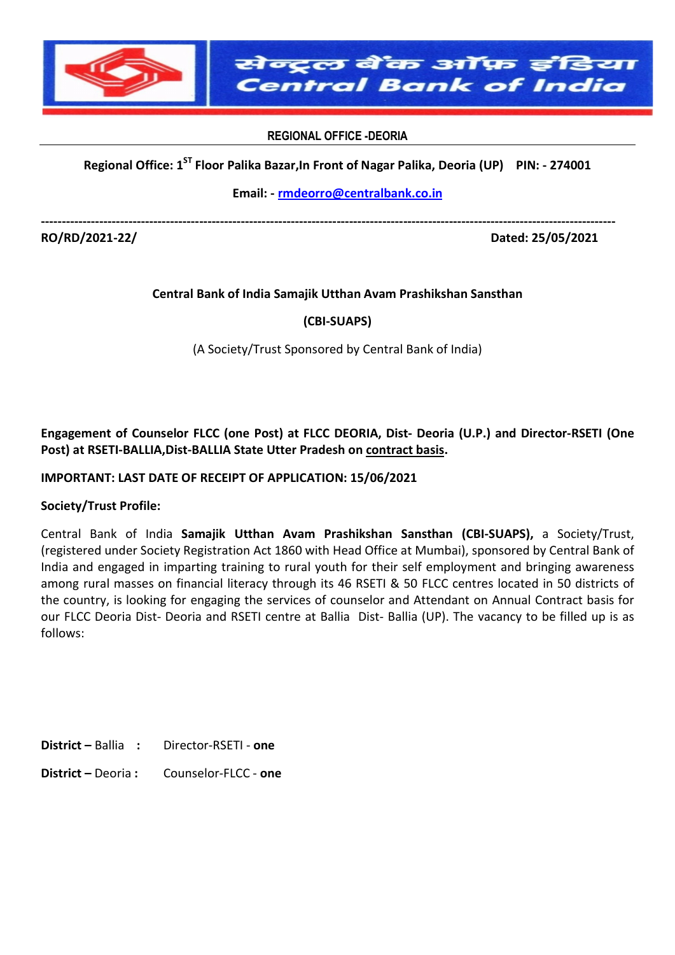

REGIONAL OFFICE -DEORIA

## Regional Office: 1<sup>ST</sup> Floor Palika Bazar, In Front of Nagar Palika, Deoria (UP) PIN: - 274001

Email: - rmdeorro@centralbank.co.in

------------------------------------------------------------------------------------------------------------------------------------------

RO/RD/2021-22/ Dated: 25/05/2021

ŀ,

## Central Bank of India Samajik Utthan Avam Prashikshan Sansthan

(CBI-SUAPS)

(A Society/Trust Sponsored by Central Bank of India)

Engagement of Counselor FLCC (one Post) at FLCC DEORIA, Dist- Deoria (U.P.) and Director-RSETI (One Post) at RSETI-BALLIA,Dist-BALLIA State Utter Pradesh on contract basis.

## IMPORTANT: LAST DATE OF RECEIPT OF APPLICATION: 15/06/2021

#### Society/Trust Profile:

Central Bank of India Samajik Utthan Avam Prashikshan Sansthan (CBI-SUAPS), a Society/Trust, (registered under Society Registration Act 1860 with Head Office at Mumbai), sponsored by Central Bank of India and engaged in imparting training to rural youth for their self employment and bringing awareness among rural masses on financial literacy through its 46 RSETI & 50 FLCC centres located in 50 districts of the country, is looking for engaging the services of counselor and Attendant on Annual Contract basis for our FLCC Deoria Dist- Deoria and RSETI centre at Ballia Dist- Ballia (UP). The vacancy to be filled up is as follows:

District – Ballia : Director-RSETI - one

District – Deoria: Counselor-FLCC - one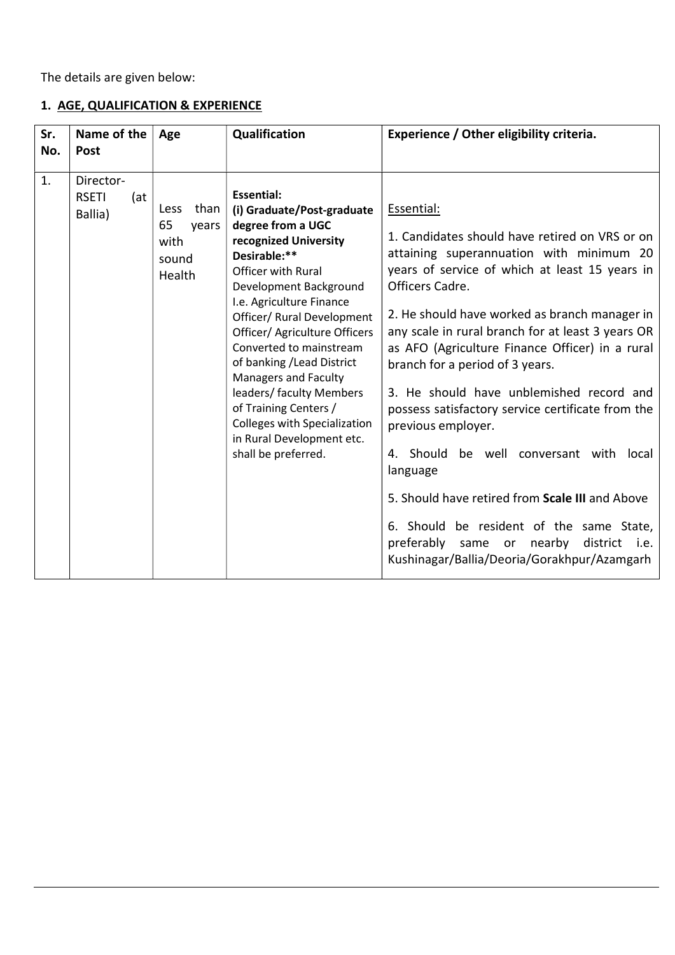The details are given below:

## 1. AGE, QUALIFICATION & EXPERIENCE

| Sr.<br>No. | Name of the<br><b>Post</b>                  | Age                                                    | Qualification                                                                                                                                                                                                                                                                                                                                                                                                                                                                                           | Experience / Other eligibility criteria.                                                                                                                                                                                                                                                                                                                                                                                                                                                                                                                                                                                                                                                                                                                   |
|------------|---------------------------------------------|--------------------------------------------------------|---------------------------------------------------------------------------------------------------------------------------------------------------------------------------------------------------------------------------------------------------------------------------------------------------------------------------------------------------------------------------------------------------------------------------------------------------------------------------------------------------------|------------------------------------------------------------------------------------------------------------------------------------------------------------------------------------------------------------------------------------------------------------------------------------------------------------------------------------------------------------------------------------------------------------------------------------------------------------------------------------------------------------------------------------------------------------------------------------------------------------------------------------------------------------------------------------------------------------------------------------------------------------|
| 1.         | Director-<br><b>RSETI</b><br>(at<br>Ballia) | than<br>Less<br>65<br>years<br>with<br>sound<br>Health | <b>Essential:</b><br>(i) Graduate/Post-graduate<br>degree from a UGC<br>recognized University<br>Desirable:**<br><b>Officer with Rural</b><br>Development Background<br>I.e. Agriculture Finance<br>Officer/ Rural Development<br>Officer/ Agriculture Officers<br>Converted to mainstream<br>of banking / Lead District<br><b>Managers and Faculty</b><br>leaders/ faculty Members<br>of Training Centers /<br><b>Colleges with Specialization</b><br>in Rural Development etc.<br>shall be preferred. | Essential:<br>1. Candidates should have retired on VRS or on<br>attaining superannuation with minimum 20<br>years of service of which at least 15 years in<br>Officers Cadre.<br>2. He should have worked as branch manager in<br>any scale in rural branch for at least 3 years OR<br>as AFO (Agriculture Finance Officer) in a rural<br>branch for a period of 3 years.<br>3. He should have unblemished record and<br>possess satisfactory service certificate from the<br>previous employer.<br>4. Should be well conversant with local<br>language<br>5. Should have retired from Scale III and Above<br>6. Should be resident of the same State,<br>preferably same or nearby<br>district <i>i.e.</i><br>Kushinagar/Ballia/Deoria/Gorakhpur/Azamgarh |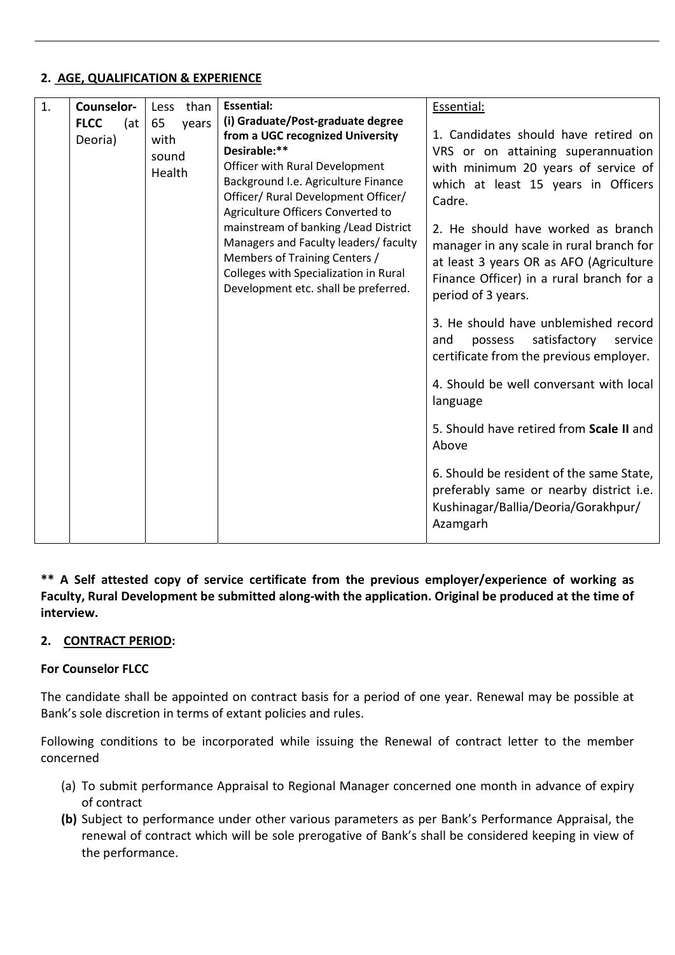## 2. AGE, QUALIFICATION & EXPERIENCE

| 1. | Counselor-         | than<br><b>Less</b> | <b>Essential:</b>                     | Essential:                                |  |  |  |  |  |  |
|----|--------------------|---------------------|---------------------------------------|-------------------------------------------|--|--|--|--|--|--|
|    | <b>FLCC</b><br>(at | 65<br>years         | (i) Graduate/Post-graduate degree     |                                           |  |  |  |  |  |  |
|    | Deoria)            | with                | from a UGC recognized University      | 1. Candidates should have retired on      |  |  |  |  |  |  |
|    |                    | sound               | Desirable:**                          | VRS or on attaining superannuation        |  |  |  |  |  |  |
|    |                    | Health              | Officer with Rural Development        | with minimum 20 years of service of       |  |  |  |  |  |  |
|    |                    |                     | Background I.e. Agriculture Finance   | which at least 15 years in Officers       |  |  |  |  |  |  |
|    |                    |                     | Officer/ Rural Development Officer/   | Cadre.                                    |  |  |  |  |  |  |
|    |                    |                     | Agriculture Officers Converted to     |                                           |  |  |  |  |  |  |
|    |                    |                     | mainstream of banking / Lead District | 2. He should have worked as branch        |  |  |  |  |  |  |
|    |                    |                     | Managers and Faculty leaders/ faculty | manager in any scale in rural branch for  |  |  |  |  |  |  |
|    |                    |                     | Members of Training Centers /         | at least 3 years OR as AFO (Agriculture   |  |  |  |  |  |  |
|    |                    |                     | Colleges with Specialization in Rural |                                           |  |  |  |  |  |  |
|    |                    |                     | Development etc. shall be preferred.  | Finance Officer) in a rural branch for a  |  |  |  |  |  |  |
|    |                    |                     |                                       | period of 3 years.                        |  |  |  |  |  |  |
|    |                    |                     |                                       | 3. He should have unblemished record      |  |  |  |  |  |  |
|    |                    |                     |                                       | satisfactory<br>and<br>possess<br>service |  |  |  |  |  |  |
|    |                    |                     |                                       | certificate from the previous employer.   |  |  |  |  |  |  |
|    |                    |                     |                                       |                                           |  |  |  |  |  |  |
|    |                    |                     |                                       | 4. Should be well conversant with local   |  |  |  |  |  |  |
|    |                    |                     |                                       | language                                  |  |  |  |  |  |  |
|    |                    |                     |                                       |                                           |  |  |  |  |  |  |
|    |                    |                     |                                       | 5. Should have retired from Scale II and  |  |  |  |  |  |  |
|    |                    |                     |                                       | Above                                     |  |  |  |  |  |  |
|    |                    |                     |                                       |                                           |  |  |  |  |  |  |
|    |                    |                     |                                       | 6. Should be resident of the same State,  |  |  |  |  |  |  |
|    |                    |                     |                                       | preferably same or nearby district i.e.   |  |  |  |  |  |  |
|    |                    |                     |                                       | Kushinagar/Ballia/Deoria/Gorakhpur/       |  |  |  |  |  |  |
|    |                    |                     |                                       | Azamgarh                                  |  |  |  |  |  |  |
|    |                    |                     |                                       |                                           |  |  |  |  |  |  |

\*\* A Self attested copy of service certificate from the previous employer/experience of working as Faculty, Rural Development be submitted along-with the application. Original be produced at the time of interview.

## 2. CONTRACT PERIOD:

## For Counselor FLCC

The candidate shall be appointed on contract basis for a period of one year. Renewal may be possible at Bank's sole discretion in terms of extant policies and rules.

Following conditions to be incorporated while issuing the Renewal of contract letter to the member concerned

- (a) To submit performance Appraisal to Regional Manager concerned one month in advance of expiry of contract
- (b) Subject to performance under other various parameters as per Bank's Performance Appraisal, the renewal of contract which will be sole prerogative of Bank's shall be considered keeping in view of the performance.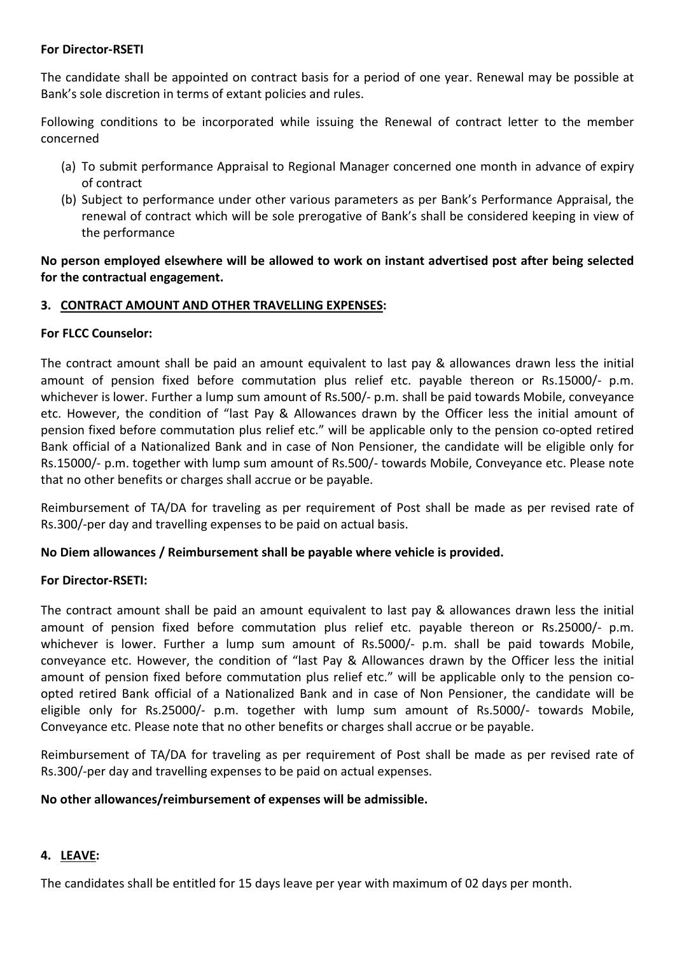#### For Director-RSETI

The candidate shall be appointed on contract basis for a period of one year. Renewal may be possible at Bank's sole discretion in terms of extant policies and rules.

Following conditions to be incorporated while issuing the Renewal of contract letter to the member concerned

- (a) To submit performance Appraisal to Regional Manager concerned one month in advance of expiry of contract
- (b) Subject to performance under other various parameters as per Bank's Performance Appraisal, the renewal of contract which will be sole prerogative of Bank's shall be considered keeping in view of the performance

No person employed elsewhere will be allowed to work on instant advertised post after being selected for the contractual engagement.

### 3. CONTRACT AMOUNT AND OTHER TRAVELLING EXPENSES:

### For FLCC Counselor:

The contract amount shall be paid an amount equivalent to last pay & allowances drawn less the initial amount of pension fixed before commutation plus relief etc. payable thereon or Rs.15000/- p.m. whichever is lower. Further a lump sum amount of Rs.500/- p.m. shall be paid towards Mobile, conveyance etc. However, the condition of "last Pay & Allowances drawn by the Officer less the initial amount of pension fixed before commutation plus relief etc." will be applicable only to the pension co-opted retired Bank official of a Nationalized Bank and in case of Non Pensioner, the candidate will be eligible only for Rs.15000/- p.m. together with lump sum amount of Rs.500/- towards Mobile, Conveyance etc. Please note that no other benefits or charges shall accrue or be payable.

Reimbursement of TA/DA for traveling as per requirement of Post shall be made as per revised rate of Rs.300/-per day and travelling expenses to be paid on actual basis.

## No Diem allowances / Reimbursement shall be payable where vehicle is provided.

## For Director-RSETI:

The contract amount shall be paid an amount equivalent to last pay & allowances drawn less the initial amount of pension fixed before commutation plus relief etc. payable thereon or Rs.25000/- p.m. whichever is lower. Further a lump sum amount of Rs.5000/- p.m. shall be paid towards Mobile, conveyance etc. However, the condition of "last Pay & Allowances drawn by the Officer less the initial amount of pension fixed before commutation plus relief etc." will be applicable only to the pension coopted retired Bank official of a Nationalized Bank and in case of Non Pensioner, the candidate will be eligible only for Rs.25000/- p.m. together with lump sum amount of Rs.5000/- towards Mobile, Conveyance etc. Please note that no other benefits or charges shall accrue or be payable.

Reimbursement of TA/DA for traveling as per requirement of Post shall be made as per revised rate of Rs.300/-per day and travelling expenses to be paid on actual expenses.

#### No other allowances/reimbursement of expenses will be admissible.

# 4. LEAVE:

The candidates shall be entitled for 15 days leave per year with maximum of 02 days per month.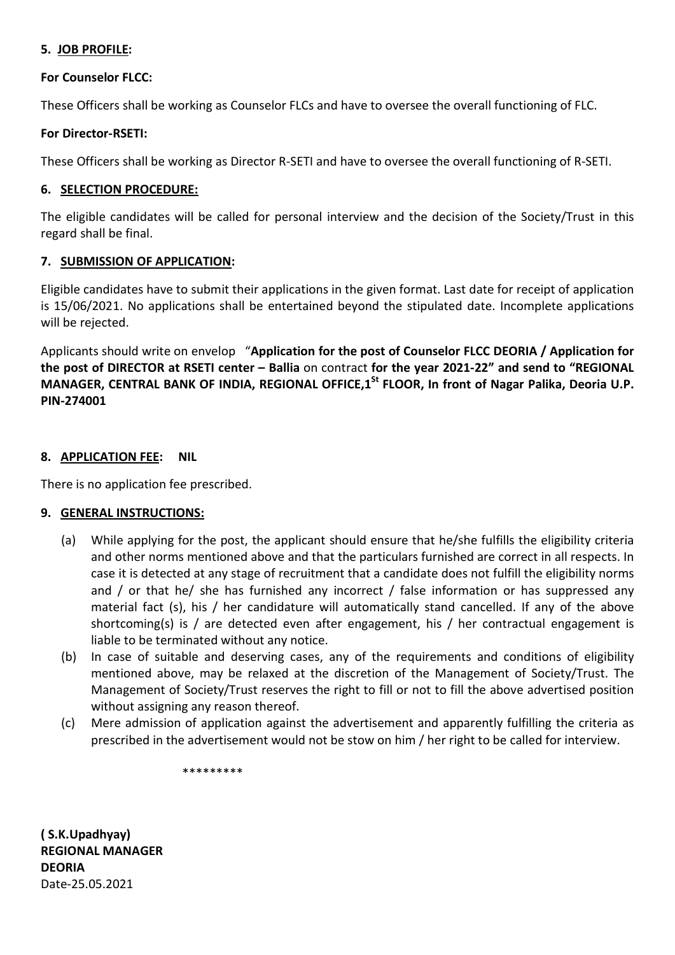#### 5. JOB PROFILE:

#### For Counselor FLCC:

These Officers shall be working as Counselor FLCs and have to oversee the overall functioning of FLC.

#### For Director-RSETI:

These Officers shall be working as Director R-SETI and have to oversee the overall functioning of R-SETI.

#### 6. SELECTION PROCEDURE:

The eligible candidates will be called for personal interview and the decision of the Society/Trust in this regard shall be final.

#### 7. SUBMISSION OF APPLICATION:

Eligible candidates have to submit their applications in the given format. Last date for receipt of application is 15/06/2021. No applications shall be entertained beyond the stipulated date. Incomplete applications will be rejected.

Applicants should write on envelop "Application for the post of Counselor FLCC DEORIA / Application for the post of DIRECTOR at RSETI center – Ballia on contract for the year 2021-22" and send to "REGIONAL MANAGER, CENTRAL BANK OF INDIA, REGIONAL OFFICE,1<sup>St</sup> FLOOR, In front of Nagar Palika, Deoria U.P. PIN-274001

### 8. APPLICATION FEE: NIL

There is no application fee prescribed.

#### 9. GENERAL INSTRUCTIONS:

- (a) While applying for the post, the applicant should ensure that he/she fulfills the eligibility criteria and other norms mentioned above and that the particulars furnished are correct in all respects. In case it is detected at any stage of recruitment that a candidate does not fulfill the eligibility norms and / or that he/ she has furnished any incorrect / false information or has suppressed any material fact (s), his / her candidature will automatically stand cancelled. If any of the above shortcoming(s) is / are detected even after engagement, his / her contractual engagement is liable to be terminated without any notice.
- (b) In case of suitable and deserving cases, any of the requirements and conditions of eligibility mentioned above, may be relaxed at the discretion of the Management of Society/Trust. The Management of Society/Trust reserves the right to fill or not to fill the above advertised position without assigning any reason thereof.
- (c) Mere admission of application against the advertisement and apparently fulfilling the criteria as prescribed in the advertisement would not be stow on him / her right to be called for interview.

\*\*\*\*\*\*\*\*\*

( S.K.Upadhyay) REGIONAL MANAGER **DEORIA** Date-25.05.2021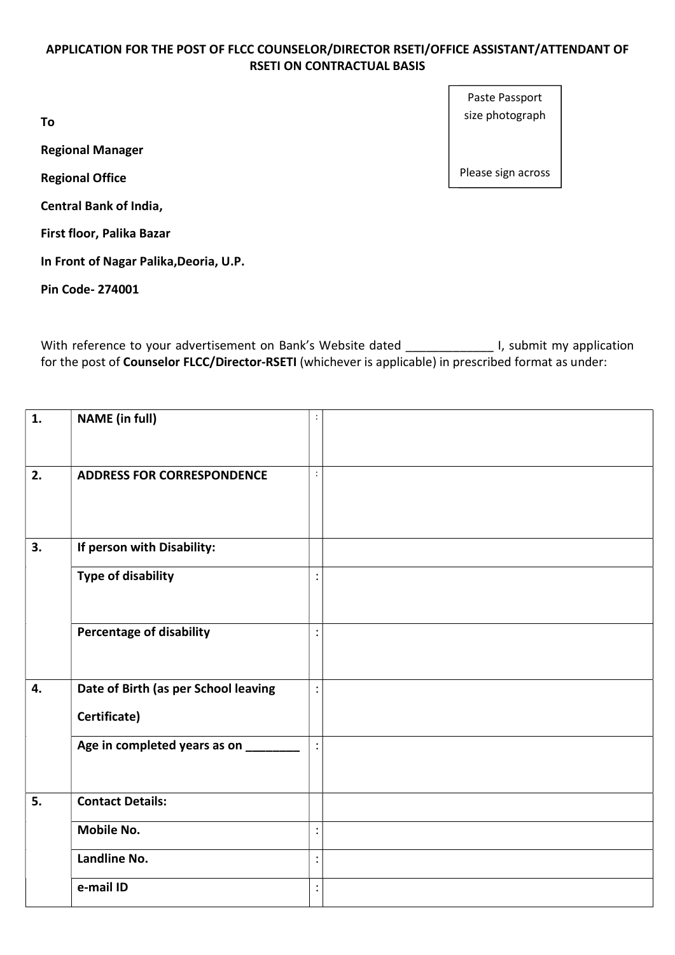## APPLICATION FOR THE POST OF FLCC COUNSELOR/DIRECTOR RSETI/OFFICE ASSISTANT/ATTENDANT OF RSETI ON CONTRACTUAL BASIS

To

Regional Manager

Regional Office

Central Bank of India,

First floor, Palika Bazar

In Front of Nagar Palika,Deoria, U.P.

Pin Code- 274001

With reference to your advertisement on Bank's Website dated \_\_\_\_\_\_\_\_\_\_\_\_\_\_\_\_\_\_\_ I, submit my application for the post of Counselor FLCC/Director-RSETI (whichever is applicable) in prescribed format as under:

| 1. | <b>NAME</b> (in full)                |                      |  |
|----|--------------------------------------|----------------------|--|
| 2. | <b>ADDRESS FOR CORRESPONDENCE</b>    | $\ddot{\phantom{a}}$ |  |
| 3. | If person with Disability:           |                      |  |
|    | <b>Type of disability</b>            | $\bullet$            |  |
|    | <b>Percentage of disability</b>      |                      |  |
| 4. | Date of Birth (as per School leaving | $\ddot{\cdot}$       |  |
|    | Certificate)                         |                      |  |
|    | Age in completed years as on ____    | $\bullet$            |  |
| 5. | <b>Contact Details:</b>              |                      |  |
|    | <b>Mobile No.</b>                    | $\ddot{\cdot}$       |  |
|    | Landline No.                         | $\bullet$            |  |
|    | e-mail ID                            | $\dddot{\cdot}$      |  |

Paste Passport size photograph

Please sign across the photographs of the photographs of the photographs of the photographs of the photographs of the photographs of the photographs of the photographs of the photographs of the photographs of the photographs of the photograp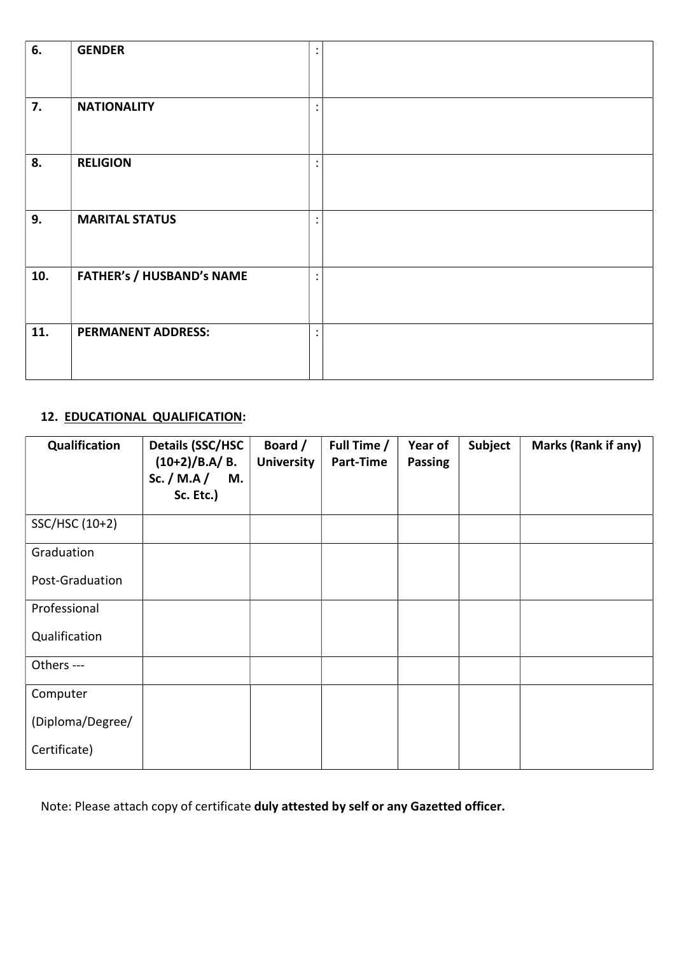| 6.  | <b>GENDER</b>                    | ٠<br>٠ |  |
|-----|----------------------------------|--------|--|
|     |                                  |        |  |
|     |                                  |        |  |
| 7.  | <b>NATIONALITY</b>               |        |  |
|     |                                  |        |  |
|     |                                  |        |  |
| 8.  | <b>RELIGION</b>                  |        |  |
|     |                                  |        |  |
|     |                                  |        |  |
| 9.  | <b>MARITAL STATUS</b>            |        |  |
|     |                                  |        |  |
|     |                                  |        |  |
| 10. | <b>FATHER's / HUSBAND's NAME</b> | ٠      |  |
|     |                                  |        |  |
|     |                                  |        |  |
| 11. | <b>PERMANENT ADDRESS:</b>        |        |  |
|     |                                  |        |  |
|     |                                  |        |  |

# 12. EDUCATIONAL QUALIFICATION:

| Qualification    | <b>Details (SSC/HSC</b><br>$(10+2)/B.A/B.$<br>Sc. / M.A /<br>М.<br>Sc. Etc.) | Board /<br><b>University</b> | Full Time /<br>Part-Time | Year of<br><b>Passing</b> | Subject | Marks (Rank if any) |
|------------------|------------------------------------------------------------------------------|------------------------------|--------------------------|---------------------------|---------|---------------------|
| SSC/HSC (10+2)   |                                                                              |                              |                          |                           |         |                     |
| Graduation       |                                                                              |                              |                          |                           |         |                     |
| Post-Graduation  |                                                                              |                              |                          |                           |         |                     |
| Professional     |                                                                              |                              |                          |                           |         |                     |
| Qualification    |                                                                              |                              |                          |                           |         |                     |
| Others ---       |                                                                              |                              |                          |                           |         |                     |
| Computer         |                                                                              |                              |                          |                           |         |                     |
| (Diploma/Degree/ |                                                                              |                              |                          |                           |         |                     |
| Certificate)     |                                                                              |                              |                          |                           |         |                     |

Note: Please attach copy of certificate duly attested by self or any Gazetted officer.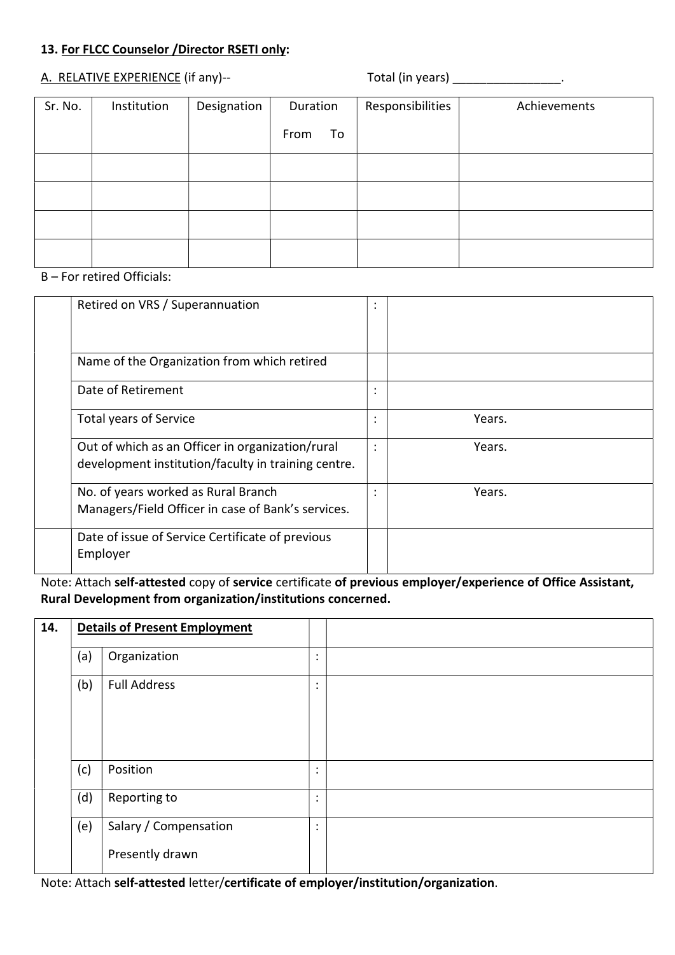#### 13. For FLCC Counselor /Director RSETI only:

# A. RELATIVE EXPERIENCE (if any)--<br>
Total (in years) \_\_\_\_\_\_\_\_\_\_\_\_\_\_\_\_\_\_.

| Sr. No. | Institution | Designation | Duration   | Responsibilities | Achievements |
|---------|-------------|-------------|------------|------------------|--------------|
|         |             |             | From<br>To |                  |              |
|         |             |             |            |                  |              |
|         |             |             |            |                  |              |
|         |             |             |            |                  |              |
|         |             |             |            |                  |              |

### B – For retired Officials:

| Retired on VRS / Superannuation                                                                         | ٠<br>$\cdot$                      |        |
|---------------------------------------------------------------------------------------------------------|-----------------------------------|--------|
|                                                                                                         |                                   |        |
| Name of the Organization from which retired                                                             |                                   |        |
| Date of Retirement                                                                                      | $\cdot$                           |        |
| <b>Total years of Service</b>                                                                           | $\bullet$<br>٠                    | Years. |
| Out of which as an Officer in organization/rural<br>development institution/faculty in training centre. | $\bullet$<br>$\cdot$              | Years. |
| No. of years worked as Rural Branch<br>Managers/Field Officer in case of Bank's services.               | $\bullet$<br>$\ddot{\phantom{0}}$ | Years. |
| Date of issue of Service Certificate of previous<br>Employer                                            |                                   |        |

Note: Attach self-attested copy of service certificate of previous employer/experience of Office Assistant, Rural Development from organization/institutions concerned.

| 14. | <b>Details of Present Employment</b> |                       |                        |  |
|-----|--------------------------------------|-----------------------|------------------------|--|
|     | (a)                                  | Organization          | $\bullet$<br>$\bullet$ |  |
|     | (b)                                  | <b>Full Address</b>   | $\ddot{\phantom{a}}$   |  |
|     |                                      |                       |                        |  |
|     | (c)                                  | Position              | $\bullet$<br>$\bullet$ |  |
|     | (d)                                  | Reporting to          | $\bullet$<br>$\bullet$ |  |
|     | (e)                                  | Salary / Compensation | $\bullet$<br>$\bullet$ |  |
|     |                                      | Presently drawn       |                        |  |

Note: Attach self-attested letter/certificate of employer/institution/organization.